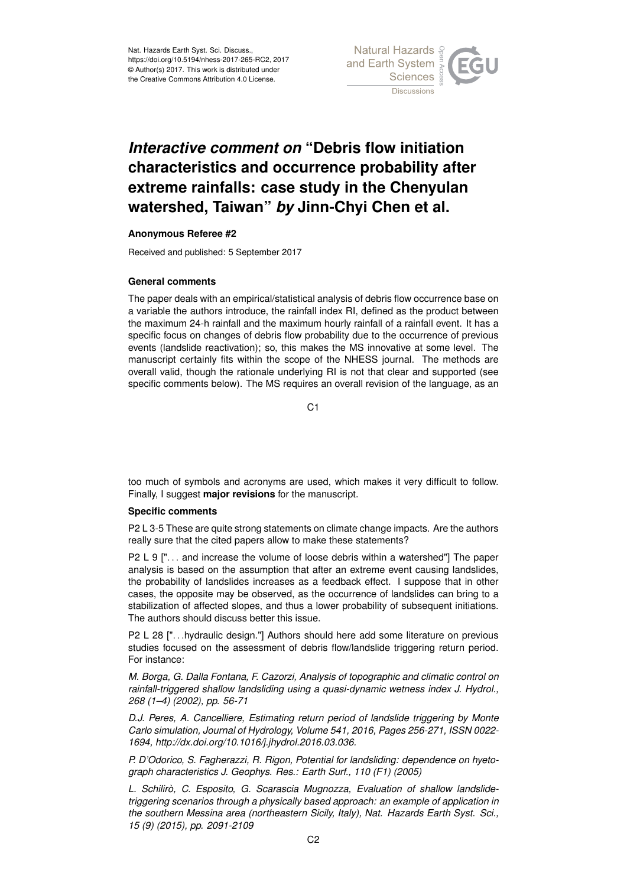Nat. Hazards Earth Syst. Sci. Discuss., https://doi.org/10.5194/nhess-2017-265-RC2, 2017 © Author(s) 2017. This work is distributed under the Creative Commons Attribution 4.0 License.



# *Interactive comment on* **"Debris flow initiation characteristics and occurrence probability after extreme rainfalls: case study in the Chenyulan watershed, Taiwan"** *by* **Jinn-Chyi Chen et al.**

#### **Anonymous Referee #2**

Received and published: 5 September 2017

#### **General comments**

The paper deals with an empirical/statistical analysis of debris flow occurrence base on a variable the authors introduce, the rainfall index RI, defined as the product between the maximum 24-h rainfall and the maximum hourly rainfall of a rainfall event. It has a specific focus on changes of debris flow probability due to the occurrence of previous events (landslide reactivation); so, this makes the MS innovative at some level. The manuscript certainly fits within the scope of the NHESS journal. The methods are overall valid, though the rationale underlying RI is not that clear and supported (see specific comments below). The MS requires an overall revision of the language, as an

 $C<sub>1</sub>$ 

too much of symbols and acronyms are used, which makes it very difficult to follow. Finally, I suggest **major revisions** for the manuscript.

## **Specific comments**

P2 L 3-5 These are quite strong statements on climate change impacts. Are the authors really sure that the cited papers allow to make these statements?

P2 L 9 ["... and increase the volume of loose debris within a watershed"] The paper analysis is based on the assumption that after an extreme event causing landslides, the probability of landslides increases as a feedback effect. I suppose that in other cases, the opposite may be observed, as the occurrence of landslides can bring to a stabilization of affected slopes, and thus a lower probability of subsequent initiations. The authors should discuss better this issue.

P2 L 28 [". . .hydraulic design."] Authors should here add some literature on previous studies focused on the assessment of debris flow/landslide triggering return period. For instance:

*M. Borga, G. Dalla Fontana, F. Cazorzi, Analysis of topographic and climatic control on rainfall-triggered shallow landsliding using a quasi-dynamic wetness index J. Hydrol., 268 (1–4) (2002), pp. 56-71*

*D.J. Peres, A. Cancelliere, Estimating return period of landslide triggering by Monte Carlo simulation, Journal of Hydrology, Volume 541, 2016, Pages 256-271, ISSN 0022- 1694, http://dx.doi.org/10.1016/j.jhydrol.2016.03.036.*

*P. D'Odorico, S. Fagherazzi, R. Rigon, Potential for landsliding: dependence on hyetograph characteristics J. Geophys. Res.: Earth Surf., 110 (F1) (2005)*

*L. Schilirò, C. Esposito, G. Scarascia Mugnozza, Evaluation of shallow landslidetriggering scenarios through a physically based approach: an example of application in the southern Messina area (northeastern Sicily, Italy), Nat. Hazards Earth Syst. Sci., 15 (9) (2015), pp. 2091-2109*